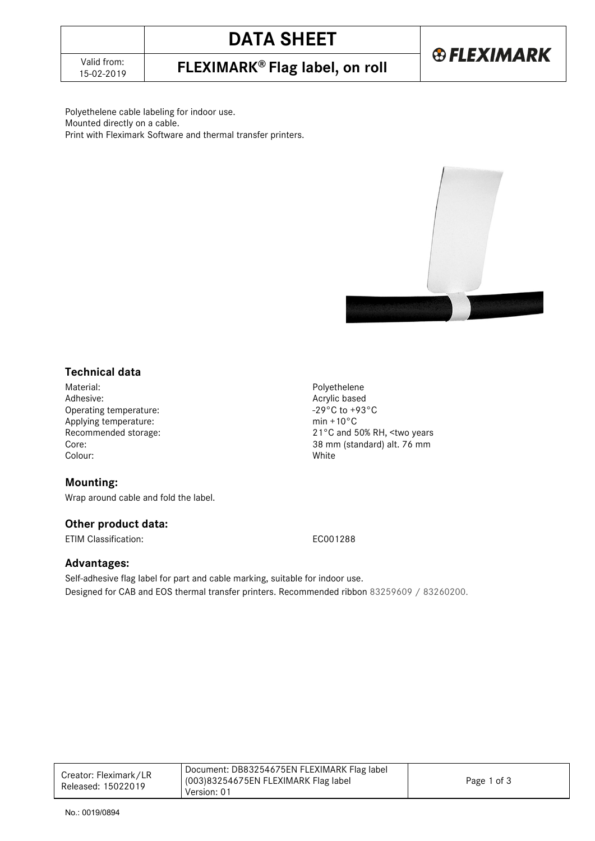# **DATA SHEET**

15-02-2019 **FLEXIMARK® Flag label, on roll**

**®FLEXIMARK** 

Polyethelene cable labeling for indoor use. Mounted directly on a cable. Print with Fleximark Software and thermal transfer printers.



## **Technical data**

Material: Polyethelene Operating temperature:  $\frac{-29^{\circ}C \text{ to } +5}{29^{\circ}C}$  to  $\frac{10^{\circ}C}{29^{\circ}C}$  and  $\frac{10^{\circ}C}{29^{\circ}C}$  and  $\frac{10^{\circ}C}{29^{\circ}C}$  and  $\frac{10^{\circ}C}{29^{\circ}C}$  and  $\frac{10^{\circ}C}{29^{\circ}C}$  and  $\frac{10^{\circ}C}{29^{\circ}C}$  and  $\frac{10^{\circ}C$ Applying temperature:<br>Recommended storage: Core: 38 mm (standard) alt. 76 mm Colour: White

#### **Mounting:**

Wrap around cable and fold the label.

#### **Other product data:**

ETIM Classification: EC001288

Acrylic based<br>-29°C to +93°C

21°C and 50% RH, <two years

### **Advantages:**

Self-adhesive flag label for part and cable marking, suitable for indoor use. Designed for CAB and EOS thermal transfer printers. Recommended ribbon 83259609 / 83260200.

| Creator: Fleximark/LR<br>Released: 15022019 | Document: DB83254675EN FLEXIMARK Flag label |             |
|---------------------------------------------|---------------------------------------------|-------------|
|                                             | 003)83254675EN FLEXIMARK Flag label         | Page 1 of 3 |
|                                             | Version: 01                                 |             |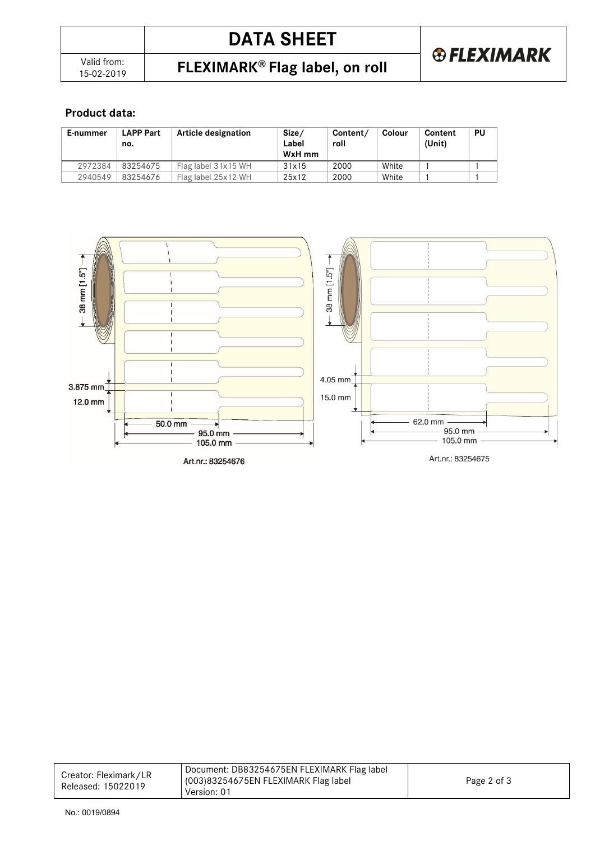### **Product data:**

| E-nummer | LAPP Part<br>no. | Article designation | Size/<br>Label<br>WxH mm | Content/<br>roll | Colour | Content<br>(Unit) | PU |
|----------|------------------|---------------------|--------------------------|------------------|--------|-------------------|----|
| 2972384  | 83254675         | Flag label 31x15 WH | 31x15                    | 2000             | White  |                   |    |
| 2940549  | 83254676         | Flag label 25x12 WH | 25x12                    | 2000             | White  |                   |    |



| Creator: Fleximark/LR<br>Released: 15022019 | Document: DB83254675EN FLEXIMARK Flag label |             |
|---------------------------------------------|---------------------------------------------|-------------|
|                                             | (003)83254675EN FLEXIMARK Flag label        | Page 2 of 3 |
|                                             | Version: 01                                 |             |